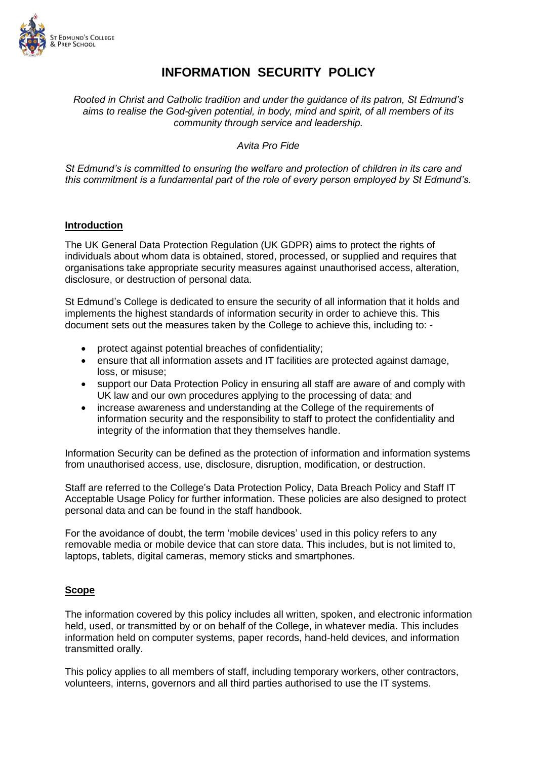

# **INFORMATION SECURITY POLICY**

*Rooted in Christ and Catholic tradition and under the guidance of its patron, St Edmund's aims to realise the God-given potential, in body, mind and spirit, of all members of its community through service and leadership.*

*Avita Pro Fide*

*St Edmund's is committed to ensuring the welfare and protection of children in its care and this commitment is a fundamental part of the role of every person employed by St Edmund's.*

### **Introduction**

The UK General Data Protection Regulation (UK GDPR) aims to protect the rights of individuals about whom data is obtained, stored, processed, or supplied and requires that organisations take appropriate security measures against unauthorised access, alteration, disclosure, or destruction of personal data.

St Edmund's College is dedicated to ensure the security of all information that it holds and implements the highest standards of information security in order to achieve this. This document sets out the measures taken by the College to achieve this, including to: -

- protect against potential breaches of confidentiality;
- ensure that all information assets and IT facilities are protected against damage, loss, or misuse;
- support our Data Protection Policy in ensuring all staff are aware of and comply with UK law and our own procedures applying to the processing of data; and
- increase awareness and understanding at the College of the requirements of information security and the responsibility to staff to protect the confidentiality and integrity of the information that they themselves handle.

Information Security can be defined as the protection of information and information systems from unauthorised access, use, disclosure, disruption, modification, or destruction.

Staff are referred to the College's Data Protection Policy, Data Breach Policy and Staff IT Acceptable Usage Policy for further information. These policies are also designed to protect personal data and can be found in the staff handbook.

For the avoidance of doubt, the term 'mobile devices' used in this policy refers to any removable media or mobile device that can store data. This includes, but is not limited to, laptops, tablets, digital cameras, memory sticks and smartphones.

### **Scope**

The information covered by this policy includes all written, spoken, and electronic information held, used, or transmitted by or on behalf of the College, in whatever media. This includes information held on computer systems, paper records, hand-held devices, and information transmitted orally.

This policy applies to all members of staff, including temporary workers, other contractors, volunteers, interns, governors and all third parties authorised to use the IT systems.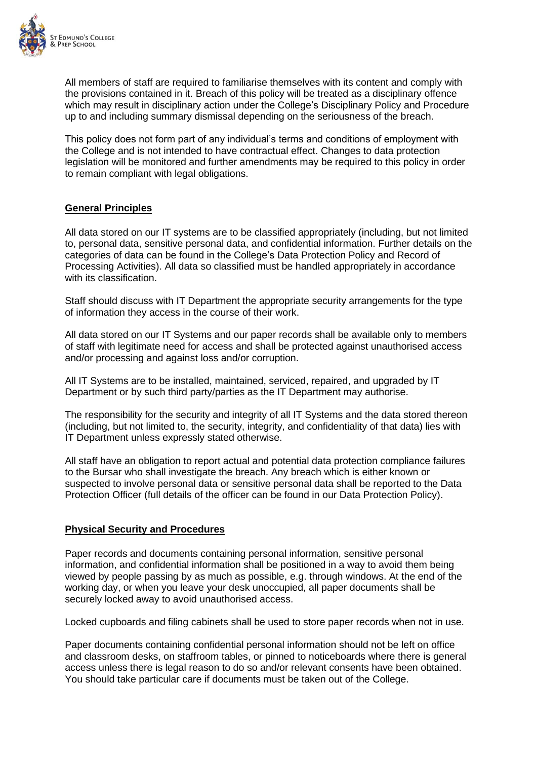

All members of staff are required to familiarise themselves with its content and comply with the provisions contained in it. Breach of this policy will be treated as a disciplinary offence which may result in disciplinary action under the College's Disciplinary Policy and Procedure up to and including summary dismissal depending on the seriousness of the breach.

This policy does not form part of any individual's terms and conditions of employment with the College and is not intended to have contractual effect. Changes to data protection legislation will be monitored and further amendments may be required to this policy in order to remain compliant with legal obligations.

### **General Principles**

All data stored on our IT systems are to be classified appropriately (including, but not limited to, personal data, sensitive personal data, and confidential information. Further details on the categories of data can be found in the College's Data Protection Policy and Record of Processing Activities). All data so classified must be handled appropriately in accordance with its classification.

Staff should discuss with IT Department the appropriate security arrangements for the type of information they access in the course of their work.

All data stored on our IT Systems and our paper records shall be available only to members of staff with legitimate need for access and shall be protected against unauthorised access and/or processing and against loss and/or corruption.

All IT Systems are to be installed, maintained, serviced, repaired, and upgraded by IT Department or by such third party/parties as the IT Department may authorise.

The responsibility for the security and integrity of all IT Systems and the data stored thereon (including, but not limited to, the security, integrity, and confidentiality of that data) lies with IT Department unless expressly stated otherwise.

All staff have an obligation to report actual and potential data protection compliance failures to the Bursar who shall investigate the breach. Any breach which is either known or suspected to involve personal data or sensitive personal data shall be reported to the Data Protection Officer (full details of the officer can be found in our Data Protection Policy).

### **Physical Security and Procedures**

Paper records and documents containing personal information, sensitive personal information, and confidential information shall be positioned in a way to avoid them being viewed by people passing by as much as possible, e.g. through windows. At the end of the working day, or when you leave your desk unoccupied, all paper documents shall be securely locked away to avoid unauthorised access.

Locked cupboards and filing cabinets shall be used to store paper records when not in use.

Paper documents containing confidential personal information should not be left on office and classroom desks, on staffroom tables, or pinned to noticeboards where there is general access unless there is legal reason to do so and/or relevant consents have been obtained. You should take particular care if documents must be taken out of the College.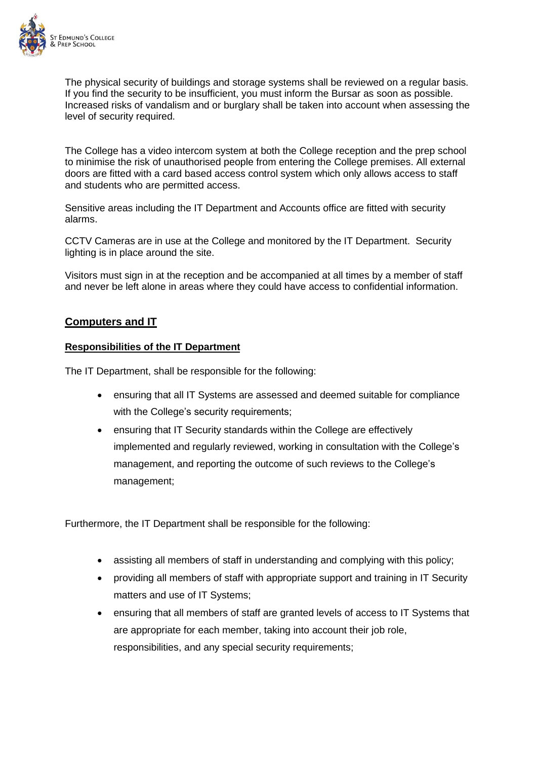

The physical security of buildings and storage systems shall be reviewed on a regular basis. If you find the security to be insufficient, you must inform the Bursar as soon as possible. Increased risks of vandalism and or burglary shall be taken into account when assessing the level of security required.

The College has a video intercom system at both the College reception and the prep school to minimise the risk of unauthorised people from entering the College premises. All external doors are fitted with a card based access control system which only allows access to staff and students who are permitted access.

Sensitive areas including the IT Department and Accounts office are fitted with security alarms.

CCTV Cameras are in use at the College and monitored by the IT Department. Security lighting is in place around the site.

Visitors must sign in at the reception and be accompanied at all times by a member of staff and never be left alone in areas where they could have access to confidential information.

## **Computers and IT**

### **Responsibilities of the IT Department**

The IT Department, shall be responsible for the following:

- ensuring that all IT Systems are assessed and deemed suitable for compliance with the College's security requirements;
- ensuring that IT Security standards within the College are effectively implemented and regularly reviewed, working in consultation with the College's management, and reporting the outcome of such reviews to the College's management;

Furthermore, the IT Department shall be responsible for the following:

- assisting all members of staff in understanding and complying with this policy;
- providing all members of staff with appropriate support and training in IT Security matters and use of IT Systems;
- ensuring that all members of staff are granted levels of access to IT Systems that are appropriate for each member, taking into account their job role, responsibilities, and any special security requirements;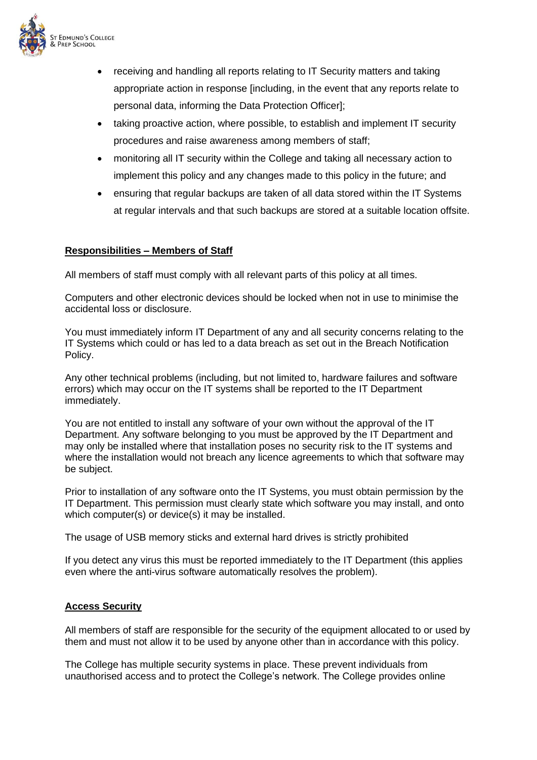

- receiving and handling all reports relating to IT Security matters and taking appropriate action in response [including, in the event that any reports relate to personal data, informing the Data Protection Officer];
- taking proactive action, where possible, to establish and implement IT security procedures and raise awareness among members of staff;
- monitoring all IT security within the College and taking all necessary action to implement this policy and any changes made to this policy in the future; and
- ensuring that regular backups are taken of all data stored within the IT Systems at regular intervals and that such backups are stored at a suitable location offsite.

### **Responsibilities – Members of Staff**

All members of staff must comply with all relevant parts of this policy at all times.

Computers and other electronic devices should be locked when not in use to minimise the accidental loss or disclosure.

You must immediately inform IT Department of any and all security concerns relating to the IT Systems which could or has led to a data breach as set out in the Breach Notification Policy.

Any other technical problems (including, but not limited to, hardware failures and software errors) which may occur on the IT systems shall be reported to the IT Department immediately.

You are not entitled to install any software of your own without the approval of the IT Department. Any software belonging to you must be approved by the IT Department and may only be installed where that installation poses no security risk to the IT systems and where the installation would not breach any licence agreements to which that software may be subject.

Prior to installation of any software onto the IT Systems, you must obtain permission by the IT Department. This permission must clearly state which software you may install, and onto which computer(s) or device(s) it may be installed.

The usage of USB memory sticks and external hard drives is strictly prohibited

If you detect any virus this must be reported immediately to the IT Department (this applies even where the anti-virus software automatically resolves the problem).

### **Access Security**

All members of staff are responsible for the security of the equipment allocated to or used by them and must not allow it to be used by anyone other than in accordance with this policy.

The College has multiple security systems in place. These prevent individuals from unauthorised access and to protect the College's network. The College provides online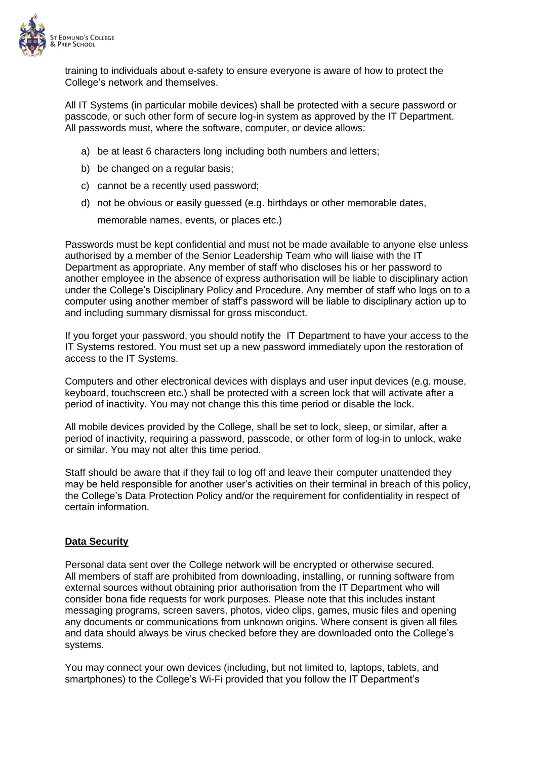

training to individuals about e-safety to ensure everyone is aware of how to protect the College's network and themselves.

All IT Systems (in particular mobile devices) shall be protected with a secure password or passcode, or such other form of secure log-in system as approved by the IT Department. All passwords must, where the software, computer, or device allows:

- a) be at least 6 characters long including both numbers and letters;
- b) be changed on a regular basis;
- c) cannot be a recently used password;
- d) not be obvious or easily guessed (e.g. birthdays or other memorable dates,

memorable names, events, or places etc.)

Passwords must be kept confidential and must not be made available to anyone else unless authorised by a member of the Senior Leadership Team who will liaise with the IT Department as appropriate. Any member of staff who discloses his or her password to another employee in the absence of express authorisation will be liable to disciplinary action under the College's Disciplinary Policy and Procedure. Any member of staff who logs on to a computer using another member of staff's password will be liable to disciplinary action up to and including summary dismissal for gross misconduct.

If you forget your password, you should notify the IT Department to have your access to the IT Systems restored. You must set up a new password immediately upon the restoration of access to the IT Systems.

Computers and other electronical devices with displays and user input devices (e.g. mouse, keyboard, touchscreen etc.) shall be protected with a screen lock that will activate after a period of inactivity. You may not change this this time period or disable the lock.

All mobile devices provided by the College, shall be set to lock, sleep, or similar, after a period of inactivity, requiring a password, passcode, or other form of log-in to unlock, wake or similar. You may not alter this time period.

Staff should be aware that if they fail to log off and leave their computer unattended they may be held responsible for another user's activities on their terminal in breach of this policy, the College's Data Protection Policy and/or the requirement for confidentiality in respect of certain information.

### **Data Security**

Personal data sent over the College network will be encrypted or otherwise secured. All members of staff are prohibited from downloading, installing, or running software from external sources without obtaining prior authorisation from the IT Department who will consider bona fide requests for work purposes. Please note that this includes instant messaging programs, screen savers, photos, video clips, games, music files and opening any documents or communications from unknown origins. Where consent is given all files and data should always be virus checked before they are downloaded onto the College's systems.

You may connect your own devices (including, but not limited to, laptops, tablets, and smartphones) to the College's Wi-Fi provided that you follow the IT Department's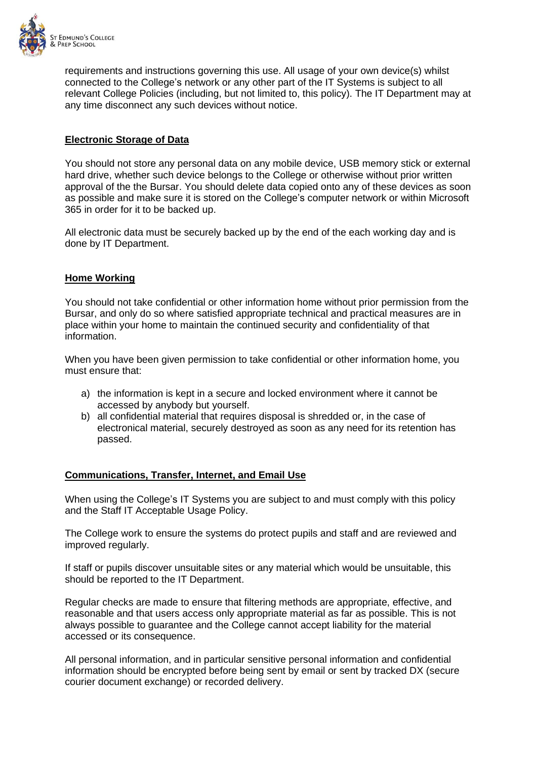

requirements and instructions governing this use. All usage of your own device(s) whilst connected to the College's network or any other part of the IT Systems is subject to all relevant College Policies (including, but not limited to, this policy). The IT Department may at any time disconnect any such devices without notice.

### **Electronic Storage of Data**

You should not store any personal data on any mobile device, USB memory stick or external hard drive, whether such device belongs to the College or otherwise without prior written approval of the the Bursar. You should delete data copied onto any of these devices as soon as possible and make sure it is stored on the College's computer network or within Microsoft 365 in order for it to be backed up.

All electronic data must be securely backed up by the end of the each working day and is done by IT Department.

### **Home Working**

You should not take confidential or other information home without prior permission from the Bursar, and only do so where satisfied appropriate technical and practical measures are in place within your home to maintain the continued security and confidentiality of that information.

When you have been given permission to take confidential or other information home, you must ensure that:

- a) the information is kept in a secure and locked environment where it cannot be accessed by anybody but yourself.
- b) all confidential material that requires disposal is shredded or, in the case of electronical material, securely destroyed as soon as any need for its retention has passed.

### **Communications, Transfer, Internet, and Email Use**

When using the College's IT Systems you are subject to and must comply with this policy and the Staff IT Acceptable Usage Policy.

The College work to ensure the systems do protect pupils and staff and are reviewed and improved regularly.

If staff or pupils discover unsuitable sites or any material which would be unsuitable, this should be reported to the IT Department.

Regular checks are made to ensure that filtering methods are appropriate, effective, and reasonable and that users access only appropriate material as far as possible. This is not always possible to guarantee and the College cannot accept liability for the material accessed or its consequence.

All personal information, and in particular sensitive personal information and confidential information should be encrypted before being sent by email or sent by tracked DX (secure courier document exchange) or recorded delivery.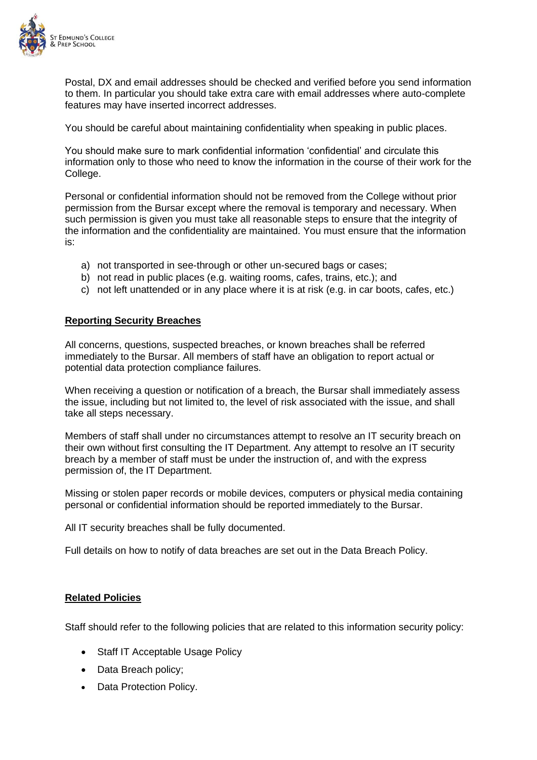

Postal, DX and email addresses should be checked and verified before you send information to them. In particular you should take extra care with email addresses where auto-complete features may have inserted incorrect addresses.

You should be careful about maintaining confidentiality when speaking in public places.

You should make sure to mark confidential information 'confidential' and circulate this information only to those who need to know the information in the course of their work for the College.

Personal or confidential information should not be removed from the College without prior permission from the Bursar except where the removal is temporary and necessary. When such permission is given you must take all reasonable steps to ensure that the integrity of the information and the confidentiality are maintained. You must ensure that the information is:

- a) not transported in see-through or other un-secured bags or cases;
- b) not read in public places (e.g. waiting rooms, cafes, trains, etc.); and
- c) not left unattended or in any place where it is at risk (e.g. in car boots, cafes, etc.)

#### **Reporting Security Breaches**

All concerns, questions, suspected breaches, or known breaches shall be referred immediately to the Bursar. All members of staff have an obligation to report actual or potential data protection compliance failures.

When receiving a question or notification of a breach, the Bursar shall immediately assess the issue, including but not limited to, the level of risk associated with the issue, and shall take all steps necessary.

Members of staff shall under no circumstances attempt to resolve an IT security breach on their own without first consulting the IT Department. Any attempt to resolve an IT security breach by a member of staff must be under the instruction of, and with the express permission of, the IT Department.

Missing or stolen paper records or mobile devices, computers or physical media containing personal or confidential information should be reported immediately to the Bursar.

All IT security breaches shall be fully documented.

Full details on how to notify of data breaches are set out in the Data Breach Policy.

### **Related Policies**

Staff should refer to the following policies that are related to this information security policy:

- Staff IT Acceptable Usage Policy
- Data Breach policy;
- Data Protection Policy.